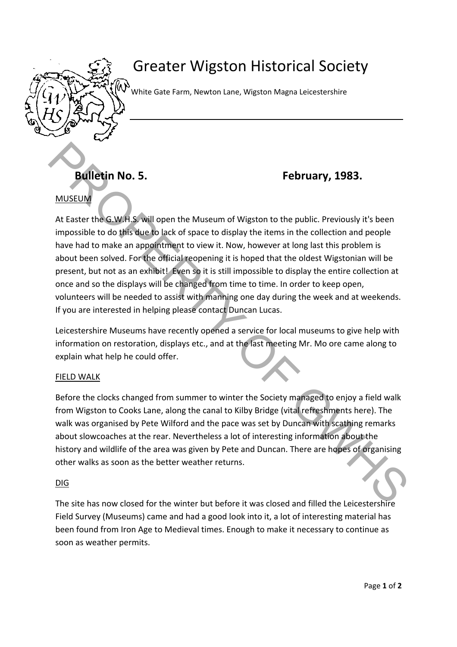

# Greater Wigston Historical Society

WW white Gate Farm, Newton Lane, Wigston Magna Leicestershire

## **Bulletin No. 5. February, 1983.**

### MUSEUM

At Easter the G.W.H.S. will open the Museum of Wigston to the public. Previously it's been impossible to do this due to lack of space to display the items in the collection and people have had to make an appointment to view it. Now, however at long last this problem is about been solved. For the official reopening it is hoped that the oldest Wigstonian will be present, but not as an exhibit! Even so it is still impossible to display the entire collection at once and so the displays will be changed from time to time. In order to keep open, volunteers will be needed to assist with manning one day during the week and at weekends. If you are interested in helping please contact Duncan Lucas. **Butiletin No. 5. February, 1983.**<br> **PROPERTY: PROPERTY: PROPERTY: PROPERTY: PROPERTY: PROPERTY: PROPERTY: PROPERTY: PROPERTY: PROPERTY: PROPERTY: PROPERTY: PROPERTY: PROPERTY: PROPERTY: PRO** 

Leicestershire Museums have recently opened a service for local museums to give help with information on restoration, displays etc., and at the last meeting Mr. Mo ore came along to explain what help he could offer.

#### FIELD WALK

Before the clocks changed from summer to winter the Society managed to enjoy a field walk from Wigston to Cooks Lane, along the canal to Kilby Bridge (vital refreshments here). The walk was organised by Pete Wilford and the pace was set by Duncan with scathing remarks about slowcoaches at the rear. Nevertheless a lot of interesting information about the history and wildlife of the area was given by Pete and Duncan. There are hopes of organising other walks as soon as the better weather returns.

#### DIG

The site has now closed for the winter but before it was closed and filled the Leicestershire Field Survey (Museums) came and had a good look into it, a lot of interesting material has been found from Iron Age to Medieval times. Enough to make it necessary to continue as soon as weather permits.